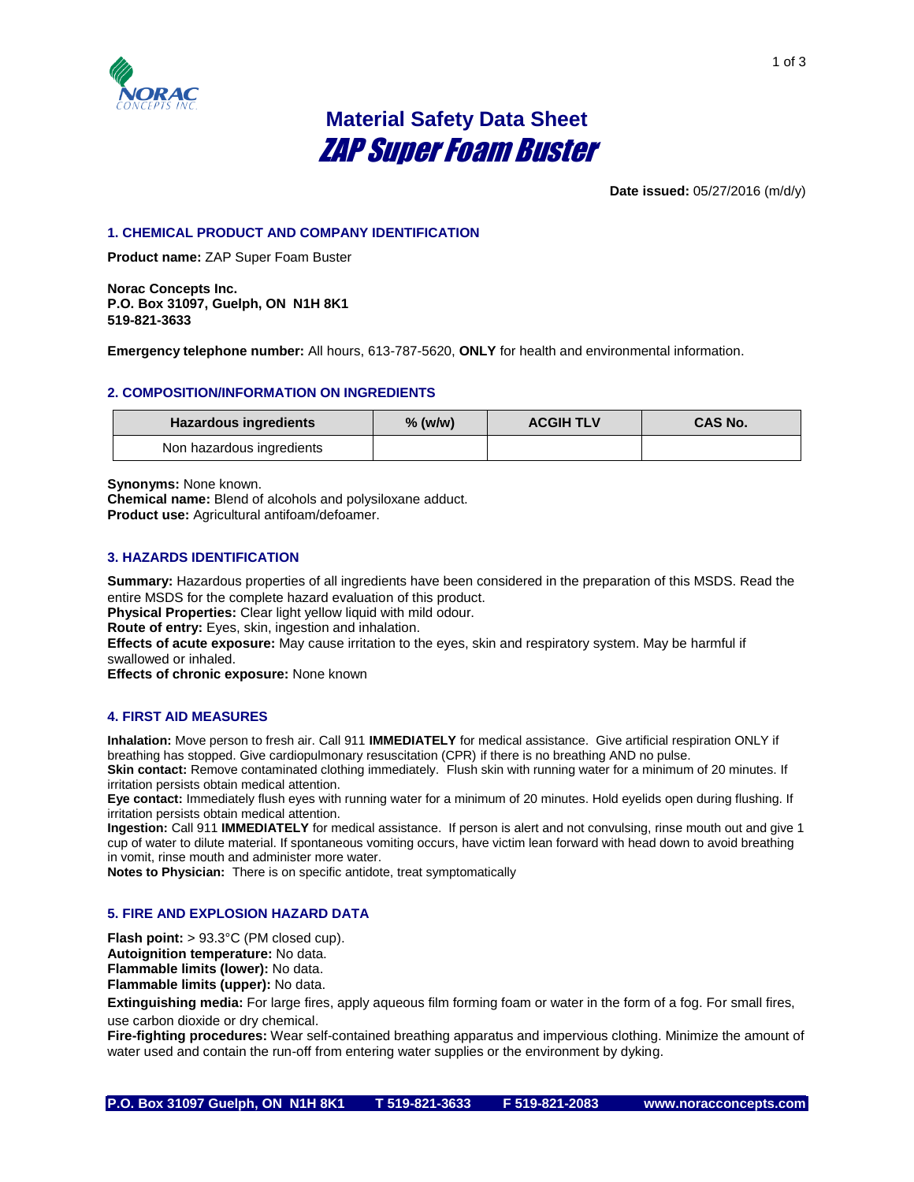

# **Material Safety Data Sheet** ZAP Super Foam Buster

**Date issued:** 05/27/2016 (m/d/y)

# **1. CHEMICAL PRODUCT AND COMPANY IDENTIFICATION**

**Product name:** ZAP Super Foam Buster

**Norac Concepts Inc. P.O. Box 31097, Guelph, ON N1H 8K1 519-821-3633**

**Emergency telephone number:** All hours, 613-787-5620, **ONLY** for health and environmental information.

#### **2. COMPOSITION/INFORMATION ON INGREDIENTS**

| <b>Hazardous ingredients</b> | $%$ (w/w) | <b>ACGIH TLV</b> | <b>CAS No.</b> |
|------------------------------|-----------|------------------|----------------|
| Non hazardous ingredients    |           |                  |                |

**Synonyms:** None known.

**Chemical name:** Blend of alcohols and polysiloxane adduct. **Product use:** Agricultural antifoam/defoamer.

## **3. HAZARDS IDENTIFICATION**

**Summary:** Hazardous properties of all ingredients have been considered in the preparation of this MSDS. Read the entire MSDS for the complete hazard evaluation of this product.

**Physical Properties:** Clear light yellow liquid with mild odour.

**Route of entry:** Eyes, skin, ingestion and inhalation.

**Effects of acute exposure:** May cause irritation to the eyes, skin and respiratory system. May be harmful if swallowed or inhaled.

**Effects of chronic exposure:** None known

#### **4. FIRST AID MEASURES**

**Inhalation:** Move person to fresh air. Call 911 **IMMEDIATELY** for medical assistance. Give artificial respiration ONLY if breathing has stopped. Give cardiopulmonary resuscitation (CPR) if there is no breathing AND no pulse.

**Skin contact:** Remove contaminated clothing immediately. Flush skin with running water for a minimum of 20 minutes. If irritation persists obtain medical attention.

**Eye contact:** Immediately flush eyes with running water for a minimum of 20 minutes. Hold eyelids open during flushing. If irritation persists obtain medical attention.

**Ingestion:** Call 911 **IMMEDIATELY** for medical assistance. If person is alert and not convulsing, rinse mouth out and give 1 cup of water to dilute material. If spontaneous vomiting occurs, have victim lean forward with head down to avoid breathing in vomit, rinse mouth and administer more water.

**Notes to Physician:** There is on specific antidote, treat symptomatically

## **5. FIRE AND EXPLOSION HAZARD DATA**

**Flash point:** > 93.3°C (PM closed cup).

**Autoignition temperature:** No data.

**Flammable limits (lower):** No data.

**Flammable limits (upper):** No data.

**Extinguishing media:** For large fires, apply aqueous film forming foam or water in the form of a fog. For small fires, use carbon dioxide or dry chemical.

**Fire-fighting procedures:** Wear self-contained breathing apparatus and impervious clothing. Minimize the amount of water used and contain the run-off from entering water supplies or the environment by dyking.

**P.O. Box 31097 Guelph, ON N1H 8K1 T 519-821-3633 F 519-821-2083 www.noracconcepts.com**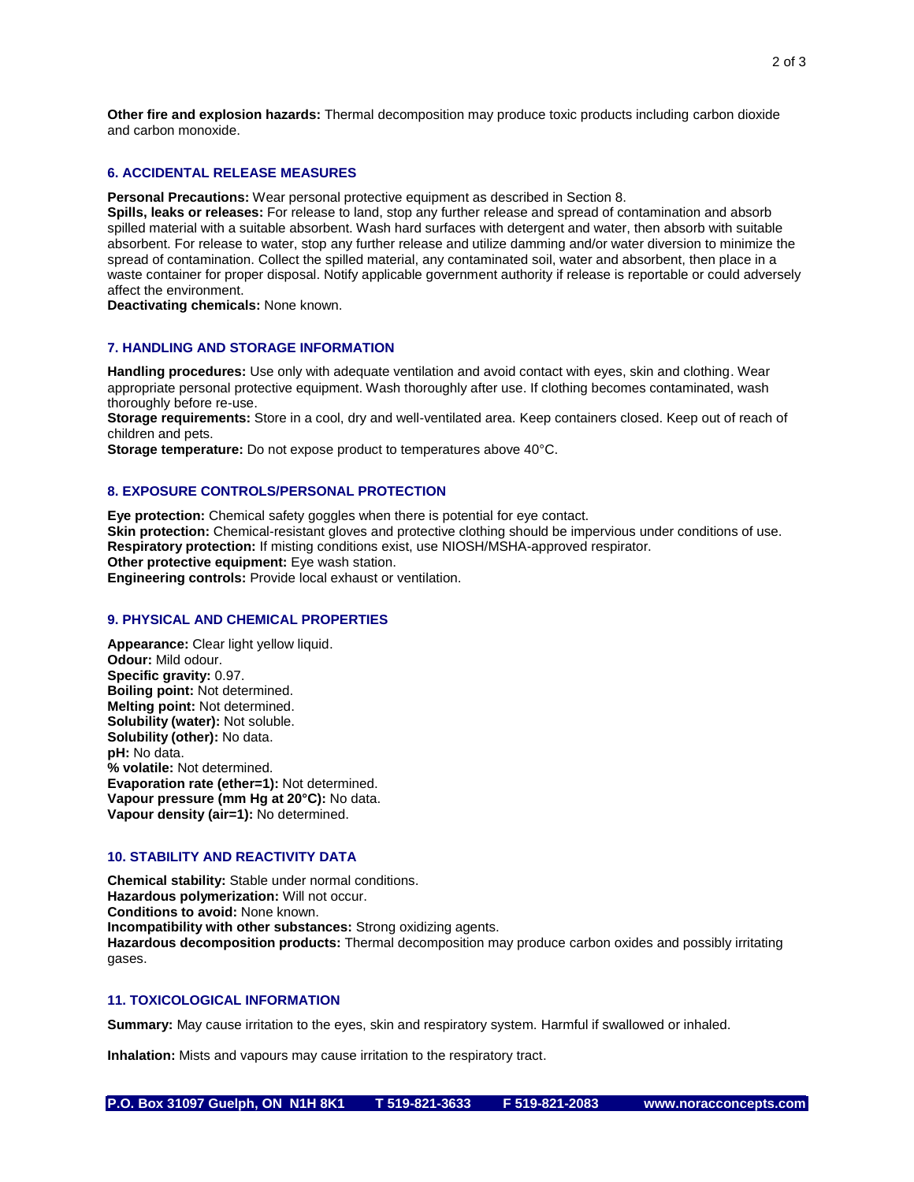**Other fire and explosion hazards:** Thermal decomposition may produce toxic products including carbon dioxide and carbon monoxide.

#### **6. ACCIDENTAL RELEASE MEASURES**

**Personal Precautions:** Wear personal protective equipment as described in Section 8.

**Spills, leaks or releases:** For release to land, stop any further release and spread of contamination and absorb spilled material with a suitable absorbent. Wash hard surfaces with detergent and water, then absorb with suitable absorbent. For release to water, stop any further release and utilize damming and/or water diversion to minimize the spread of contamination. Collect the spilled material, any contaminated soil, water and absorbent, then place in a waste container for proper disposal. Notify applicable government authority if release is reportable or could adversely affect the environment.

**Deactivating chemicals:** None known.

#### **7. HANDLING AND STORAGE INFORMATION**

**Handling procedures:** Use only with adequate ventilation and avoid contact with eyes, skin and clothing. Wear appropriate personal protective equipment. Wash thoroughly after use. If clothing becomes contaminated, wash thoroughly before re-use.

**Storage requirements:** Store in a cool, dry and well-ventilated area. Keep containers closed. Keep out of reach of children and pets.

**Storage temperature:** Do not expose product to temperatures above 40°C.

## **8. EXPOSURE CONTROLS/PERSONAL PROTECTION**

**Eye protection:** Chemical safety goggles when there is potential for eye contact. **Skin protection:** Chemical-resistant gloves and protective clothing should be impervious under conditions of use. **Respiratory protection:** If misting conditions exist, use NIOSH/MSHA-approved respirator. **Other protective equipment:** Eye wash station. **Engineering controls:** Provide local exhaust or ventilation.

#### **9. PHYSICAL AND CHEMICAL PROPERTIES**

**Appearance:** Clear light yellow liquid. **Odour:** Mild odour. **Specific gravity:** 0.97. **Boiling point:** Not determined. **Melting point:** Not determined. **Solubility (water):** Not soluble. **Solubility (other):** No data. **pH:** No data. **% volatile:** Not determined. **Evaporation rate (ether=1):** Not determined. **Vapour pressure (mm Hg at 20°C):** No data. **Vapour density (air=1):** No determined.

# **10. STABILITY AND REACTIVITY DATA**

**Chemical stability:** Stable under normal conditions. **Hazardous polymerization:** Will not occur. **Conditions to avoid:** None known. **Incompatibility with other substances:** Strong oxidizing agents. **Hazardous decomposition products:** Thermal decomposition may produce carbon oxides and possibly irritating gases.

## **11. TOXICOLOGICAL INFORMATION**

**Summary:** May cause irritation to the eyes, skin and respiratory system. Harmful if swallowed or inhaled.

**Inhalation:** Mists and vapours may cause irritation to the respiratory tract.